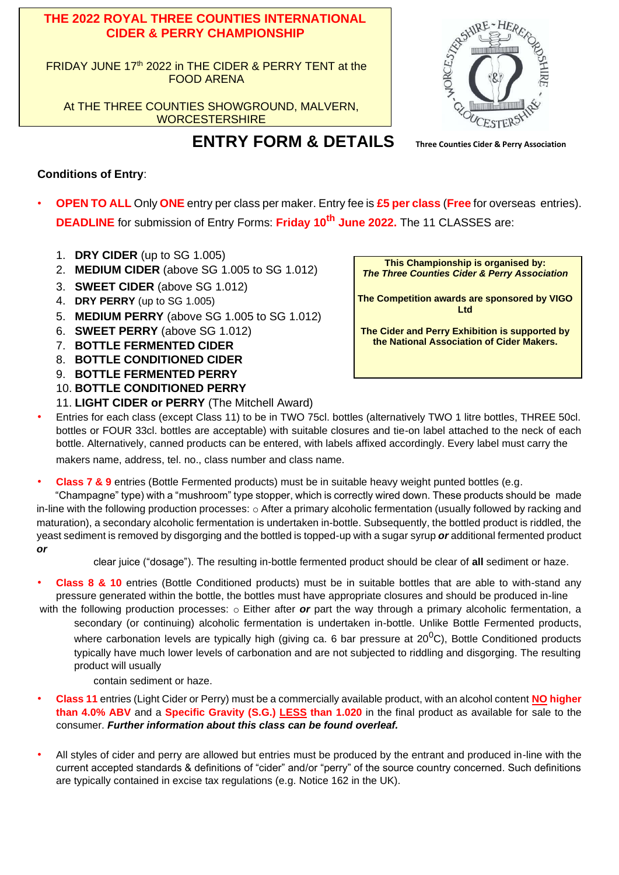#### **THE 2022 ROYAL THREE COUNTIES INTERNATIONAL CIDER & PERRY CHAMPIONSHIP**

FRIDAY JUNE 17<sup>th</sup> 2022 in THE CIDER & PERRY TENT at the FOOD ARENA

At THE THREE COUNTIES SHOWGROUND, MALVERN, **WORCESTERSHIRE** 

**ENTRY FORM & DETAILS Three Counties Cider & Perry Association** 



## **Conditions of Entry**:

- **OPEN TO ALL** Only **ONE** entry per class per maker. Entry fee is **£5 per class** (**Free** for overseas entries). **DEADLINE** for submission of Entry Forms: **Friday 10th June 2022.** The 11 CLASSES are:
	- 1. **DRY CIDER** (up to SG 1.005)
	- 2. **MEDIUM CIDER** (above SG 1.005 to SG 1.012)
	- 3. **SWEET CIDER** (above SG 1.012)
	- 4. **DRY PERRY** (up to SG 1.005)
	- 5. **MEDIUM PERRY** (above SG 1.005 to SG 1.012)
	- 6. **SWEET PERRY** (above SG 1.012)
	- 7. **BOTTLE FERMENTED CIDER**
	- 8. **BOTTLE CONDITIONED CIDER**
	- 9. **BOTTLE FERMENTED PERRY**
	- 10. **BOTTLE CONDITIONED PERRY**
	- 11. **LIGHT CIDER or PERRY** (The Mitchell Award)

• Entries for each class (except Class 11) to be in TWO 75cl. bottles (alternatively TWO 1 litre bottles, THREE 50cl. bottles or FOUR 33cl. bottles are acceptable) with suitable closures and tie-on label attached to the neck of each bottle. Alternatively, canned products can be entered, with labels affixed accordingly. Every label must carry the

makers name, address, tel. no., class number and class name.

• **Class 7 & 9** entries (Bottle Fermented products) must be in suitable heavy weight punted bottles (e.g.

"Champagne" type) with a "mushroom" type stopper, which is correctly wired down. These products should be made in-line with the following production processes: o After a primary alcoholic fermentation (usually followed by racking and maturation), a secondary alcoholic fermentation is undertaken in-bottle. Subsequently, the bottled product is riddled, the yeast sediment is removed by disgorging and the bottled is topped-up with a sugar syrup *or* additional fermented product *or*

clear juice ("dosage"). The resulting in-bottle fermented product should be clear of **all** sediment or haze.

- **Class 8 & 10** entries (Bottle Conditioned products) must be in suitable bottles that are able to with-stand any pressure generated within the bottle, the bottles must have appropriate closures and should be produced in-line
- with the following production processes: o Either after *or* part the way through a primary alcoholic fermentation, a secondary (or continuing) alcoholic fermentation is undertaken in-bottle. Unlike Bottle Fermented products, where carbonation levels are typically high (giving ca. 6 bar pressure at  $20^0$ C), Bottle Conditioned products typically have much lower levels of carbonation and are not subjected to riddling and disgorging. The resulting product will usually

contain sediment or haze.

- **Class 11** entries (Light Cider or Perry) must be a commercially available product, with an alcohol content **NO higher than 4.0% ABV** and a **Specific Gravity (S.G.) LESS than 1.020** in the final product as available for sale to the consumer. *Further information about this class can be found overleaf.*
- All styles of cider and perry are allowed but entries must be produced by the entrant and produced in-line with the current accepted standards & definitions of "cider" and/or "perry" of the source country concerned. Such definitions are typically contained in excise tax regulations (e.g. Notice 162 in the UK).

**This Championship is organised by:** *The Three Counties Cider & Perry Association*

**The Competition awards are sponsored by VIGO Ltd**

**The Cider and Perry Exhibition is supported by the National Association of Cider Makers.**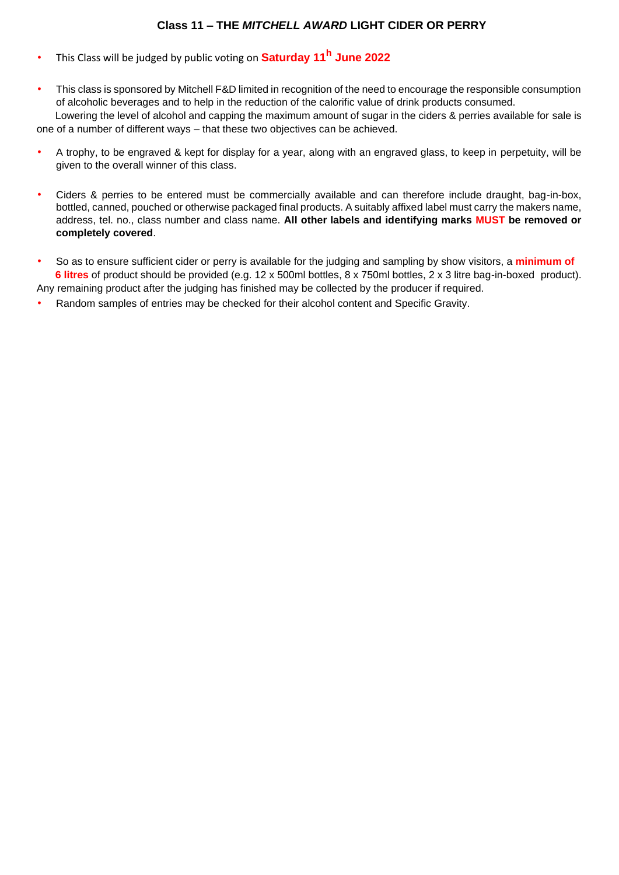## **Class 11 – THE** *MITCHELL AWARD* **LIGHT CIDER OR PERRY**

- This Class will be judged by public voting on **Saturday 11<sup>h</sup> June 2022**
- This class is sponsored by Mitchell F&D limited in recognition of the need to encourage the responsible consumption of alcoholic beverages and to help in the reduction of the calorific value of drink products consumed.

Lowering the level of alcohol and capping the maximum amount of sugar in the ciders & perries available for sale is one of a number of different ways – that these two objectives can be achieved.

- A trophy, to be engraved & kept for display for a year, along with an engraved glass, to keep in perpetuity, will be given to the overall winner of this class.
- Ciders & perries to be entered must be commercially available and can therefore include draught, bag-in-box, bottled, canned, pouched or otherwise packaged final products. A suitably affixed label must carry the makers name, address, tel. no., class number and class name. **All other labels and identifying marks MUST be removed or completely covered**.
- So as to ensure sufficient cider or perry is available for the judging and sampling by show visitors, a **minimum of 6 litres** of product should be provided (e.g. 12 x 500ml bottles, 8 x 750ml bottles, 2 x 3 litre bag-in-boxed product). Any remaining product after the judging has finished may be collected by the producer if required.
- Random samples of entries may be checked for their alcohol content and Specific Gravity.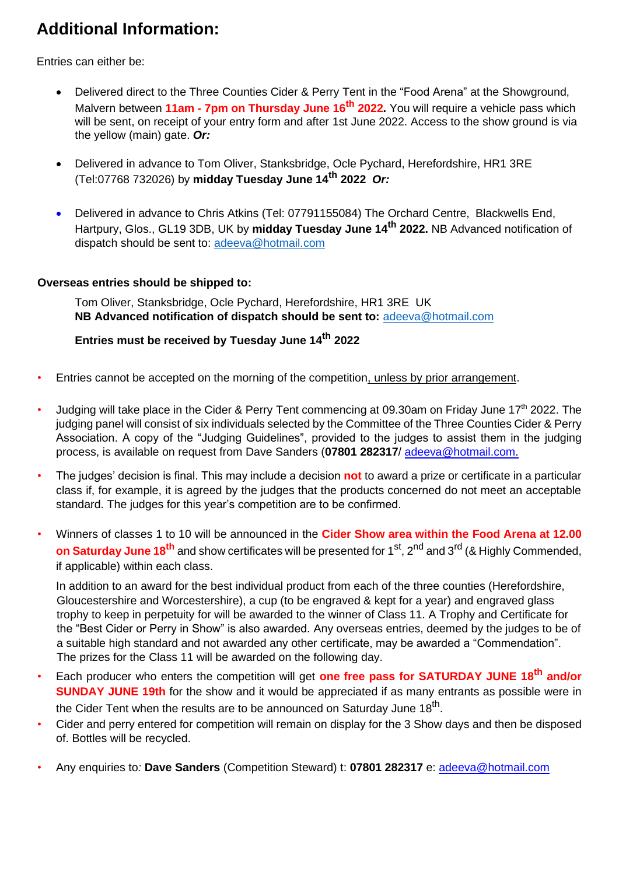# **Additional Information:**

Entries can either be:

- Delivered direct to the Three Counties Cider & Perry Tent in the "Food Arena" at the Showground, Malvern between **11am - 7pm on Thursday June 16 th 2022.** You will require a vehicle pass which will be sent, on receipt of your entry form and after 1st June 2022. Access to the show ground is via the yellow (main) gate. *Or:*
- Delivered in advance to Tom Oliver, Stanksbridge, Ocle Pychard, Herefordshire, HR1 3RE (Tel:07768 732026) by **midday Tuesday June 14 th 2022** *Or:*
- Delivered in advance to Chris Atkins (Tel: 07791155084) The Orchard Centre, Blackwells End, Hartpury, Glos., GL19 3DB, UK by **midday Tuesday June 14th 2022.** NB Advanced notification of dispatch should be sent to: [adeeva@hotmail.com](mailto:adeeva@hotmail.com)

#### **Overseas entries should be shipped to:**

Tom Oliver, Stanksbridge, Ocle Pychard, Herefordshire, HR1 3RE UK **NB Advanced notification of dispatch should be sent to:** [adeeva@hotmail.com](mailto:adeeva@hotmail.com)

## **Entries must be received by Tuesday June 14th 2022**

- Entries cannot be accepted on the morning of the competition, unless by prior arrangement.
- Judging will take place in the Cider & Perry Tent commencing at 09.30am on Friday June 17<sup>th</sup> 2022. The judging panel will consist of six individuals selected by the Committee of the Three Counties Cider & Perry Association. A copy of the "Judging Guidelines", provided to the judges to assist them in the judging process, is available on request from Dave Sanders (**07801 282317**/ adeeva@hotmail.com.
- The judges' decision is final. This may include a decision **not** to award a prize or certificate in a particular class if, for example, it is agreed by the judges that the products concerned do not meet an acceptable standard. The judges for this year's competition are to be confirmed.
- Winners of classes 1 to 10 will be announced in the **Cider Show area within the Food Arena at 12.00 on Saturday June 18<sup>th</sup> and show certificates will be presented for 1<sup>st</sup>, 2<sup>nd</sup> and 3<sup>rd</sup> (& Highly Commended,** if applicable) within each class.

In addition to an award for the best individual product from each of the three counties (Herefordshire, Gloucestershire and Worcestershire), a cup (to be engraved & kept for a year) and engraved glass trophy to keep in perpetuity for will be awarded to the winner of Class 11. A Trophy and Certificate for the "Best Cider or Perry in Show" is also awarded. Any overseas entries, deemed by the judges to be of a suitable high standard and not awarded any other certificate, may be awarded a "Commendation". The prizes for the Class 11 will be awarded on the following day.

- Each producer who enters the competition will get **one free pass for SATURDAY JUNE 18 th and/or SUNDAY JUNE 19th** for the show and it would be appreciated if as many entrants as possible were in the Cider Tent when the results are to be announced on Saturday June 18<sup>th</sup>.
- Cider and perry entered for competition will remain on display for the 3 Show days and then be disposed of. Bottles will be recycled.
- Any enquiries to*:* **Dave Sanders** (Competition Steward) t: **07801 282317** e: adeeva@hotmail.com